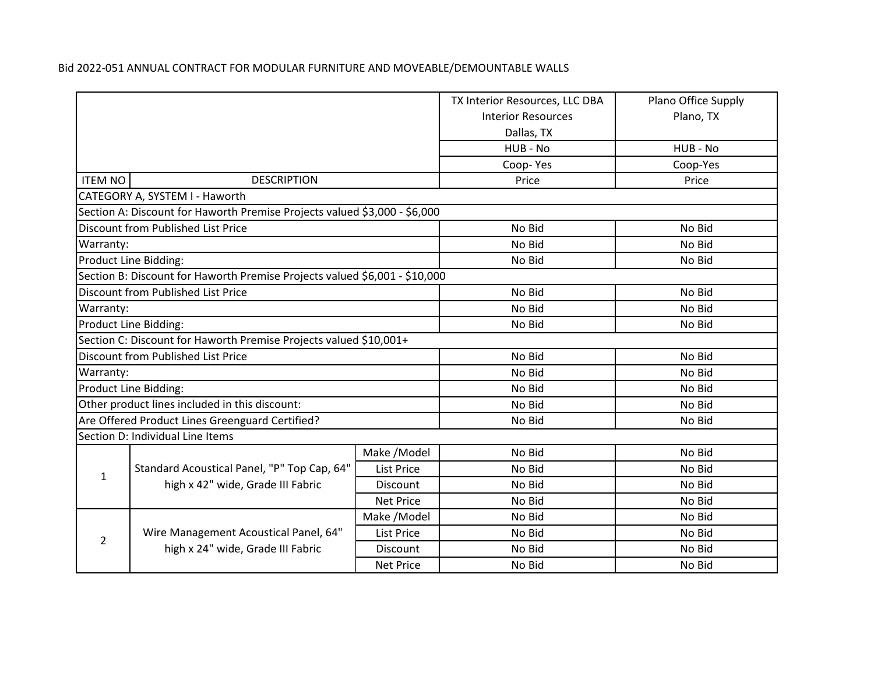|                                      |                                                                            |                   | TX Interior Resources, LLC DBA | Plano Office Supply |
|--------------------------------------|----------------------------------------------------------------------------|-------------------|--------------------------------|---------------------|
|                                      |                                                                            |                   | <b>Interior Resources</b>      | Plano, TX           |
|                                      |                                                                            |                   | Dallas, TX                     |                     |
|                                      |                                                                            |                   | HUB - No                       | HUB - No            |
|                                      |                                                                            |                   | Coop-Yes                       | Coop-Yes            |
| <b>ITEM NO</b><br><b>DESCRIPTION</b> |                                                                            |                   | Price                          | Price               |
|                                      | CATEGORY A, SYSTEM I - Haworth                                             |                   |                                |                     |
|                                      | Section A: Discount for Haworth Premise Projects valued \$3,000 - \$6,000  |                   |                                |                     |
|                                      | Discount from Published List Price                                         |                   | No Bid                         | No Bid              |
| Warranty:                            |                                                                            |                   | No Bid                         | No Bid              |
|                                      | Product Line Bidding:                                                      |                   | No Bid                         | No Bid              |
|                                      | Section B: Discount for Haworth Premise Projects valued \$6,001 - \$10,000 |                   |                                |                     |
|                                      | Discount from Published List Price                                         |                   | No Bid                         | No Bid              |
| Warranty:                            |                                                                            |                   | No Bid                         | No Bid              |
|                                      | Product Line Bidding:                                                      |                   | No Bid                         | No Bid              |
|                                      | Section C: Discount for Haworth Premise Projects valued \$10,001+          |                   |                                |                     |
|                                      | Discount from Published List Price                                         |                   | No Bid                         | No Bid              |
| Warranty:                            |                                                                            |                   | No Bid                         | No Bid              |
|                                      | Product Line Bidding:                                                      |                   | No Bid                         | No Bid              |
|                                      | Other product lines included in this discount:                             |                   | No Bid                         | No Bid              |
|                                      | Are Offered Product Lines Greenguard Certified?                            |                   | No Bid                         | No Bid              |
|                                      | Section D: Individual Line Items                                           |                   |                                |                     |
|                                      |                                                                            | Make /Model       | No Bid                         | No Bid              |
| $\mathbf{1}$                         | Standard Acoustical Panel, "P" Top Cap, 64"                                | <b>List Price</b> | No Bid                         | No Bid              |
|                                      | high x 42" wide, Grade III Fabric                                          | Discount          | No Bid                         | No Bid              |
|                                      |                                                                            | <b>Net Price</b>  | No Bid                         | No Bid              |
|                                      |                                                                            | Make /Model       | No Bid                         | No Bid              |
| $\overline{2}$                       | Wire Management Acoustical Panel, 64"                                      | <b>List Price</b> | No Bid                         | No Bid              |
|                                      | high x 24" wide, Grade III Fabric                                          | Discount          | No Bid                         | No Bid              |
|                                      |                                                                            | <b>Net Price</b>  | No Bid                         | No Bid              |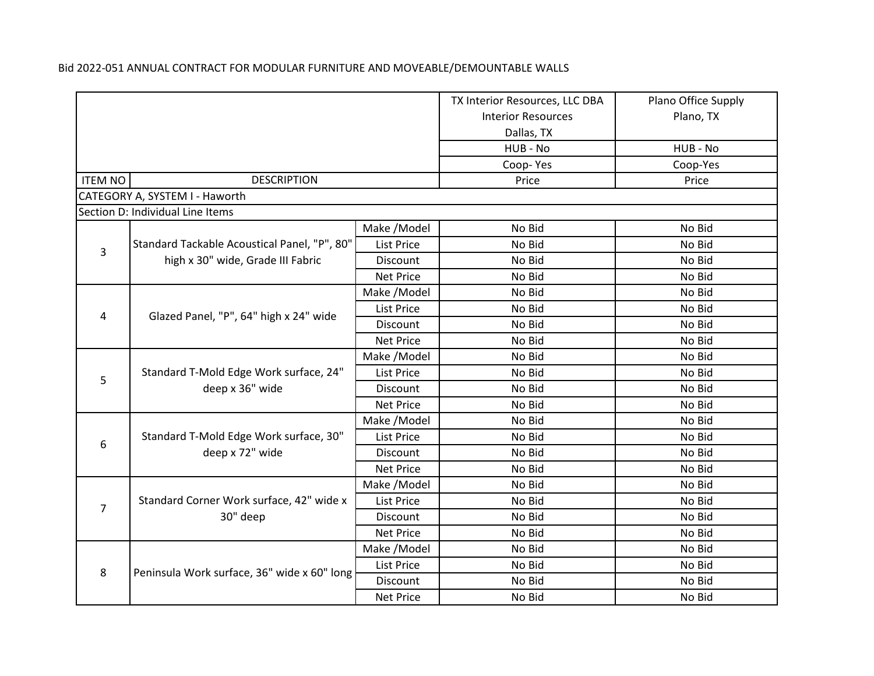|                |                                                           |                   | TX Interior Resources, LLC DBA | Plano Office Supply |
|----------------|-----------------------------------------------------------|-------------------|--------------------------------|---------------------|
|                |                                                           |                   | <b>Interior Resources</b>      | Plano, TX           |
|                |                                                           |                   | Dallas, TX                     |                     |
|                |                                                           |                   | HUB - No                       | HUB - No            |
|                |                                                           |                   | Coop-Yes                       | Coop-Yes            |
| <b>ITEM NO</b> | <b>DESCRIPTION</b>                                        |                   | Price                          | Price               |
|                | CATEGORY A, SYSTEM I - Haworth                            |                   |                                |                     |
|                | Section D: Individual Line Items                          |                   |                                |                     |
|                |                                                           | Make / Model      | No Bid                         | No Bid              |
| $\overline{3}$ | Standard Tackable Acoustical Panel, "P", 80"              | <b>List Price</b> | No Bid                         | No Bid              |
|                | high x 30" wide, Grade III Fabric                         | <b>Discount</b>   | No Bid                         | No Bid              |
|                |                                                           | <b>Net Price</b>  | No Bid                         | No Bid              |
|                |                                                           | Make /Model       | No Bid                         | No Bid              |
|                | Glazed Panel, "P", 64" high x 24" wide                    | <b>List Price</b> | No Bid                         | No Bid              |
| 4              |                                                           | Discount          | No Bid                         | No Bid              |
|                |                                                           | <b>Net Price</b>  | No Bid                         | No Bid              |
|                | Standard T-Mold Edge Work surface, 24"<br>deep x 36" wide | Make /Model       | No Bid                         | No Bid              |
| 5              |                                                           | <b>List Price</b> | No Bid                         | No Bid              |
|                |                                                           | Discount          | No Bid                         | No Bid              |
|                |                                                           | <b>Net Price</b>  | No Bid                         | No Bid              |
|                |                                                           | Make /Model       | No Bid                         | No Bid              |
| 6              | Standard T-Mold Edge Work surface, 30"                    | List Price        | No Bid                         | No Bid              |
|                | deep x 72" wide                                           | Discount          | No Bid                         | No Bid              |
|                |                                                           | <b>Net Price</b>  | No Bid                         | No Bid              |
|                |                                                           | Make /Model       | No Bid                         | No Bid              |
| $\overline{7}$ | Standard Corner Work surface, 42" wide x                  | <b>List Price</b> | No Bid                         | No Bid              |
|                | 30" deep                                                  | Discount          | No Bid                         | No Bid              |
|                |                                                           | <b>Net Price</b>  | No Bid                         | No Bid              |
|                |                                                           | Make / Model      | No Bid                         | No Bid              |
| 8              | Peninsula Work surface, 36" wide x 60" long               | <b>List Price</b> | No Bid                         | No Bid              |
|                |                                                           | Discount          | No Bid                         | No Bid              |
|                |                                                           | <b>Net Price</b>  | No Bid                         | No Bid              |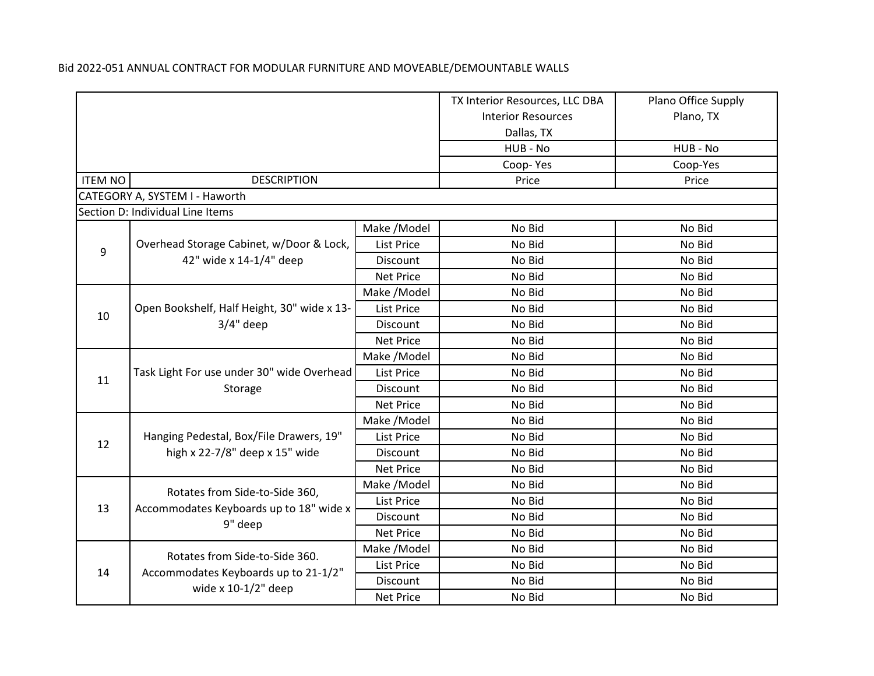|                |                                                            |                   | TX Interior Resources, LLC DBA | Plano Office Supply |
|----------------|------------------------------------------------------------|-------------------|--------------------------------|---------------------|
|                |                                                            |                   | <b>Interior Resources</b>      | Plano, TX           |
|                |                                                            |                   | Dallas, TX                     |                     |
|                |                                                            |                   | HUB - No                       | HUB - No            |
|                |                                                            |                   | Coop-Yes                       | Coop-Yes            |
| <b>ITEM NO</b> | <b>DESCRIPTION</b>                                         |                   | Price                          | Price               |
|                | CATEGORY A, SYSTEM I - Haworth                             |                   |                                |                     |
|                | Section D: Individual Line Items                           |                   |                                |                     |
|                |                                                            | Make / Model      | No Bid                         | No Bid              |
| 9              | Overhead Storage Cabinet, w/Door & Lock,                   | <b>List Price</b> | No Bid                         | No Bid              |
|                | 42" wide x 14-1/4" deep                                    | <b>Discount</b>   | No Bid                         | No Bid              |
|                |                                                            | <b>Net Price</b>  | No Bid                         | No Bid              |
|                |                                                            | Make /Model       | No Bid                         | No Bid              |
| 10             | Open Bookshelf, Half Height, 30" wide x 13-<br>$3/4"$ deep | List Price        | No Bid                         | No Bid              |
|                |                                                            | Discount          | No Bid                         | No Bid              |
|                |                                                            | <b>Net Price</b>  | No Bid                         | No Bid              |
|                | Task Light For use under 30" wide Overhead<br>Storage      | Make / Model      | No Bid                         | No Bid              |
| 11             |                                                            | <b>List Price</b> | No Bid                         | No Bid              |
|                |                                                            | Discount          | No Bid                         | No Bid              |
|                |                                                            | <b>Net Price</b>  | No Bid                         | No Bid              |
|                |                                                            | Make /Model       | No Bid                         | No Bid              |
| 12             | Hanging Pedestal, Box/File Drawers, 19"                    | <b>List Price</b> | No Bid                         | No Bid              |
|                | high x 22-7/8" deep x 15" wide                             | Discount          | No Bid                         | No Bid              |
|                |                                                            | <b>Net Price</b>  | No Bid                         | No Bid              |
|                | Rotates from Side-to-Side 360,                             | Make /Model       | No Bid                         | No Bid              |
| 13             | Accommodates Keyboards up to 18" wide x                    | <b>List Price</b> | No Bid                         | No Bid              |
|                | 9" deep                                                    | Discount          | No Bid                         | No Bid              |
|                |                                                            | <b>Net Price</b>  | No Bid                         | No Bid              |
|                | Rotates from Side-to-Side 360.                             | Make /Model       | No Bid                         | No Bid              |
| 14             | Accommodates Keyboards up to 21-1/2"                       | <b>List Price</b> | No Bid                         | No Bid              |
|                | wide $x 10-1/2$ " deep                                     | Discount          | No Bid                         | No Bid              |
|                |                                                            | <b>Net Price</b>  | No Bid                         | No Bid              |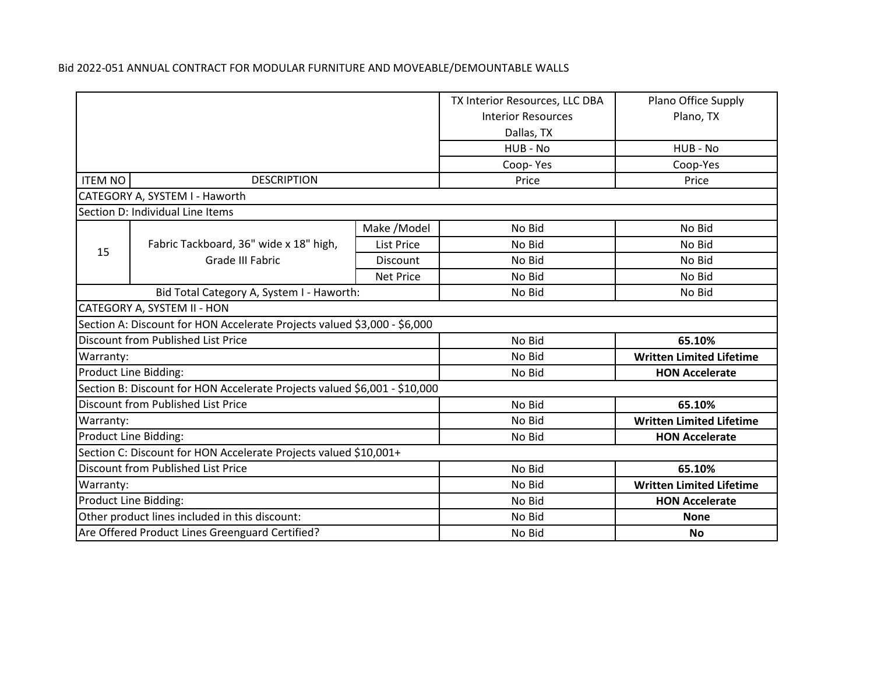|                                    |                                                                           |                           | TX Interior Resources, LLC DBA  | Plano Office Supply             |
|------------------------------------|---------------------------------------------------------------------------|---------------------------|---------------------------------|---------------------------------|
|                                    |                                                                           | <b>Interior Resources</b> | Plano, TX                       |                                 |
|                                    |                                                                           | Dallas, TX                |                                 |                                 |
|                                    |                                                                           |                           | HUB - No                        | HUB - No                        |
|                                    |                                                                           |                           | Coop-Yes                        | Coop-Yes                        |
| <b>ITEM NO</b>                     | <b>DESCRIPTION</b>                                                        |                           | Price                           | Price                           |
|                                    | CATEGORY A, SYSTEM I - Haworth                                            |                           |                                 |                                 |
|                                    | Section D: Individual Line Items                                          |                           |                                 |                                 |
|                                    |                                                                           | Make /Model               | No Bid                          | No Bid                          |
| 15                                 | Fabric Tackboard, 36" wide x 18" high,                                    | <b>List Price</b>         | No Bid                          | No Bid                          |
|                                    | Grade III Fabric                                                          | <b>Discount</b>           | No Bid                          | No Bid                          |
|                                    |                                                                           | <b>Net Price</b>          | No Bid                          | No Bid                          |
|                                    | Bid Total Category A, System I - Haworth:                                 |                           | No Bid                          | No Bid                          |
|                                    | CATEGORY A, SYSTEM II - HON                                               |                           |                                 |                                 |
|                                    | Section A: Discount for HON Accelerate Projects valued \$3,000 - \$6,000  |                           |                                 |                                 |
|                                    | <b>Discount from Published List Price</b>                                 |                           | No Bid                          | 65.10%                          |
| Warranty:                          |                                                                           |                           | No Bid                          | <b>Written Limited Lifetime</b> |
|                                    | Product Line Bidding:                                                     |                           | No Bid                          | <b>HON Accelerate</b>           |
|                                    | Section B: Discount for HON Accelerate Projects valued \$6,001 - \$10,000 |                           |                                 |                                 |
|                                    | <b>Discount from Published List Price</b>                                 |                           | No Bid                          | 65.10%                          |
| Warranty:                          |                                                                           |                           | No Bid                          | <b>Written Limited Lifetime</b> |
| Product Line Bidding:              |                                                                           | No Bid                    | <b>HON Accelerate</b>           |                                 |
|                                    | Section C: Discount for HON Accelerate Projects valued \$10,001+          |                           |                                 |                                 |
| Discount from Published List Price |                                                                           | No Bid                    | 65.10%                          |                                 |
| Warranty:                          |                                                                           | No Bid                    | <b>Written Limited Lifetime</b> |                                 |
| Product Line Bidding:              |                                                                           | No Bid                    | <b>HON Accelerate</b>           |                                 |
|                                    | Other product lines included in this discount:                            |                           | No Bid                          | <b>None</b>                     |
|                                    | Are Offered Product Lines Greenguard Certified?                           |                           | No Bid                          | <b>No</b>                       |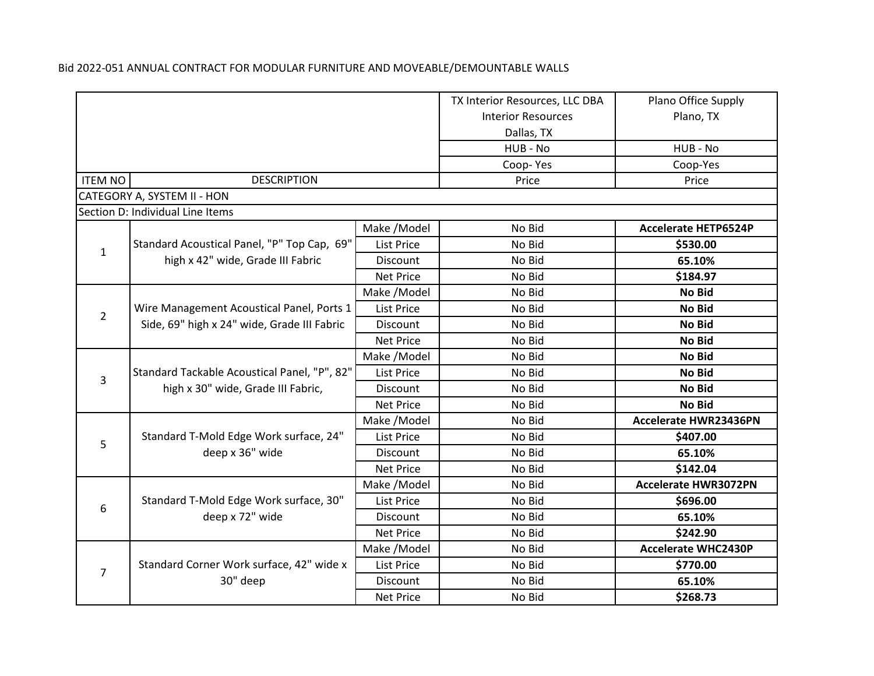|                |                                                                                    |                   | TX Interior Resources, LLC DBA | Plano Office Supply          |
|----------------|------------------------------------------------------------------------------------|-------------------|--------------------------------|------------------------------|
|                |                                                                                    |                   | <b>Interior Resources</b>      | Plano, TX                    |
|                |                                                                                    |                   | Dallas, TX                     |                              |
|                |                                                                                    |                   | HUB - No                       | HUB - No                     |
|                |                                                                                    |                   | Coop-Yes                       | Coop-Yes                     |
| <b>ITEM NO</b> | <b>DESCRIPTION</b>                                                                 |                   | Price                          | Price                        |
|                | CATEGORY A, SYSTEM II - HON                                                        |                   |                                |                              |
|                | Section D: Individual Line Items                                                   |                   |                                |                              |
|                |                                                                                    | Make / Model      | No Bid                         | <b>Accelerate HETP6524P</b>  |
| $\mathbf{1}$   | Standard Acoustical Panel, "P" Top Cap, 69"                                        | <b>List Price</b> | No Bid                         | \$530.00                     |
|                | high x 42" wide, Grade III Fabric                                                  | Discount          | No Bid                         | 65.10%                       |
|                |                                                                                    | <b>Net Price</b>  | No Bid                         | \$184.97                     |
|                |                                                                                    | Make /Model       | No Bid                         | No Bid                       |
| $\overline{2}$ | Wire Management Acoustical Panel, Ports 1                                          | <b>List Price</b> | No Bid                         | <b>No Bid</b>                |
|                | Side, 69" high x 24" wide, Grade III Fabric                                        | Discount          | No Bid                         | <b>No Bid</b>                |
|                |                                                                                    | <b>Net Price</b>  | No Bid                         | No Bid                       |
|                | Standard Tackable Acoustical Panel, "P", 82"<br>high x 30" wide, Grade III Fabric, | Make / Model      | No Bid                         | <b>No Bid</b>                |
|                |                                                                                    | <b>List Price</b> | No Bid                         | No Bid                       |
| 3              |                                                                                    | Discount          | No Bid                         | No Bid                       |
|                |                                                                                    | <b>Net Price</b>  | No Bid                         | <b>No Bid</b>                |
|                |                                                                                    | Make /Model       | No Bid                         | <b>Accelerate HWR23436PN</b> |
| 5              | Standard T-Mold Edge Work surface, 24"                                             | List Price        | No Bid                         | \$407.00                     |
|                | deep x 36" wide                                                                    | Discount          | No Bid                         | 65.10%                       |
|                |                                                                                    | <b>Net Price</b>  | No Bid                         | \$142.04                     |
|                |                                                                                    | Make /Model       | No Bid                         | <b>Accelerate HWR3072PN</b>  |
| 6              | Standard T-Mold Edge Work surface, 30"                                             | List Price        | No Bid                         | \$696.00                     |
|                | deep x 72" wide                                                                    | Discount          | No Bid                         | 65.10%                       |
|                |                                                                                    | <b>Net Price</b>  | No Bid                         | \$242.90                     |
|                |                                                                                    | Make /Model       | No Bid                         | <b>Accelerate WHC2430P</b>   |
| $\overline{7}$ | Standard Corner Work surface, 42" wide x                                           | List Price        | No Bid                         | \$770.00                     |
|                | 30" deep                                                                           | Discount          | No Bid                         | 65.10%                       |
|                |                                                                                    | <b>Net Price</b>  | No Bid                         | \$268.73                     |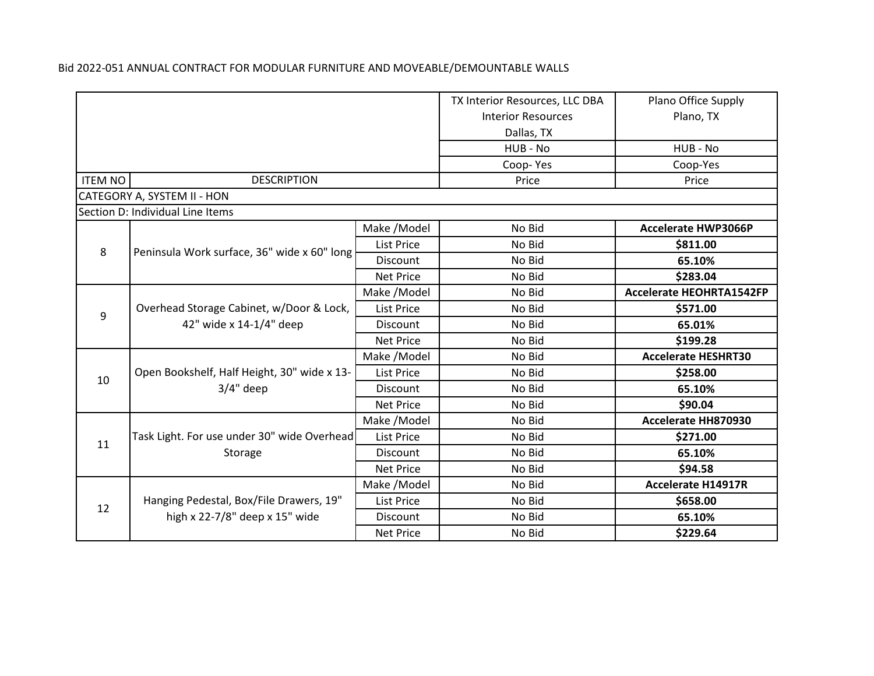|                |                                                                          |                           | TX Interior Resources, LLC DBA | Plano Office Supply             |
|----------------|--------------------------------------------------------------------------|---------------------------|--------------------------------|---------------------------------|
|                |                                                                          | <b>Interior Resources</b> | Plano, TX                      |                                 |
|                |                                                                          |                           | Dallas, TX                     |                                 |
|                |                                                                          |                           | HUB - No                       | HUB - No                        |
|                |                                                                          |                           | Coop-Yes                       | Coop-Yes                        |
| <b>ITEM NO</b> | <b>DESCRIPTION</b>                                                       |                           | Price                          | Price                           |
|                | CATEGORY A, SYSTEM II - HON                                              |                           |                                |                                 |
|                | Section D: Individual Line Items                                         |                           |                                |                                 |
|                |                                                                          | Make /Model               | No Bid                         | <b>Accelerate HWP3066P</b>      |
| 8              |                                                                          | <b>List Price</b>         | No Bid                         | \$811.00                        |
|                | Peninsula Work surface, 36" wide x 60" long                              | Discount                  | No Bid                         | 65.10%                          |
|                |                                                                          | <b>Net Price</b>          | No Bid                         | \$283.04                        |
|                |                                                                          | Make / Model              | No Bid                         | <b>Accelerate HEOHRTA1542FP</b> |
|                | Overhead Storage Cabinet, w/Door & Lock,<br>9<br>42" wide x 14-1/4" deep | List Price                | No Bid                         | \$571.00                        |
|                |                                                                          | Discount                  | No Bid                         | 65.01%                          |
|                |                                                                          | <b>Net Price</b>          | No Bid                         | \$199.28                        |
|                |                                                                          | Make /Model               | No Bid                         | <b>Accelerate HESHRT30</b>      |
| 10             | Open Bookshelf, Half Height, 30" wide x 13-<br>$3/4"$ deep               | List Price                | No Bid                         | \$258.00                        |
|                |                                                                          | Discount                  | No Bid                         | 65.10%                          |
|                |                                                                          | <b>Net Price</b>          | No Bid                         | \$90.04                         |
|                |                                                                          | Make /Model               | No Bid                         | Accelerate HH870930             |
| 11             | Task Light. For use under 30" wide Overhead                              | List Price                | No Bid                         | \$271.00                        |
|                | Storage                                                                  | Discount                  | No Bid                         | 65.10%                          |
|                |                                                                          | <b>Net Price</b>          | No Bid                         | \$94.58                         |
|                |                                                                          | Make / Model              | No Bid                         | <b>Accelerate H14917R</b>       |
|                | Hanging Pedestal, Box/File Drawers, 19"                                  | <b>List Price</b>         | No Bid                         | \$658.00                        |
| 12             | high x 22-7/8" deep x 15" wide                                           | Discount                  | No Bid                         | 65.10%                          |
|                |                                                                          | <b>Net Price</b>          | No Bid                         | \$229.64                        |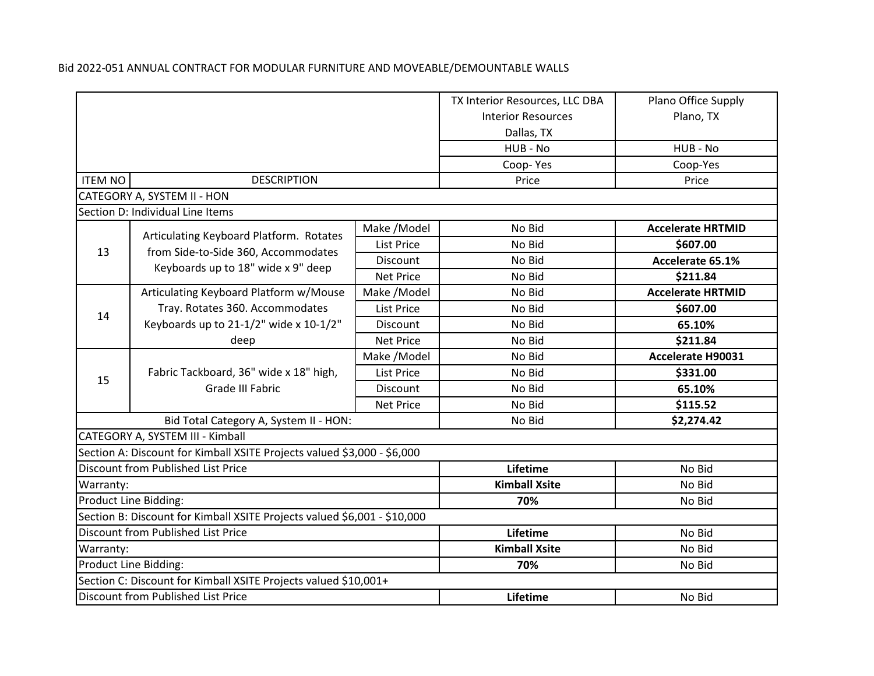|                                           |                                                                          |                      | TX Interior Resources, LLC DBA | Plano Office Supply      |
|-------------------------------------------|--------------------------------------------------------------------------|----------------------|--------------------------------|--------------------------|
|                                           |                                                                          |                      | <b>Interior Resources</b>      | Plano, TX                |
|                                           |                                                                          |                      | Dallas, TX                     |                          |
|                                           |                                                                          |                      | HUB - No                       | HUB - No                 |
|                                           |                                                                          |                      | Coop-Yes                       | Coop-Yes                 |
| <b>ITEM NO</b>                            | <b>DESCRIPTION</b>                                                       |                      | Price                          | Price                    |
|                                           | CATEGORY A, SYSTEM II - HON                                              |                      |                                |                          |
|                                           | Section D: Individual Line Items                                         |                      |                                |                          |
|                                           | Articulating Keyboard Platform. Rotates                                  | Make /Model          | No Bid                         | <b>Accelerate HRTMID</b> |
| 13                                        | from Side-to-Side 360, Accommodates                                      | List Price           | No Bid                         | \$607.00                 |
|                                           | Keyboards up to 18" wide x 9" deep                                       | Discount             | No Bid                         | Accelerate 65.1%         |
|                                           |                                                                          | <b>Net Price</b>     | No Bid                         | \$211.84                 |
|                                           | Articulating Keyboard Platform w/Mouse                                   | Make /Model          | No Bid                         | <b>Accelerate HRTMID</b> |
|                                           | Tray. Rotates 360. Accommodates                                          | List Price           | No Bid                         | \$607.00                 |
|                                           | 14<br>Keyboards up to 21-1/2" wide x 10-1/2"                             | Discount             | No Bid                         | 65.10%                   |
|                                           | deep                                                                     | <b>Net Price</b>     | No Bid                         | \$211.84                 |
|                                           |                                                                          | Make /Model          | No Bid                         | <b>Accelerate H90031</b> |
| 15                                        | Fabric Tackboard, 36" wide x 18" high,                                   | <b>List Price</b>    | No Bid                         | \$331.00                 |
|                                           | Grade III Fabric                                                         | Discount             | No Bid                         | 65.10%                   |
|                                           |                                                                          | <b>Net Price</b>     | No Bid                         | \$115.52                 |
|                                           | Bid Total Category A, System II - HON:                                   |                      | No Bid                         | \$2,274.42               |
|                                           | CATEGORY A, SYSTEM III - Kimball                                         |                      |                                |                          |
|                                           | Section A: Discount for Kimball XSITE Projects valued \$3,000 - \$6,000  |                      |                                |                          |
|                                           | Discount from Published List Price                                       |                      | Lifetime                       | No Bid                   |
| Warranty:                                 |                                                                          |                      | <b>Kimball Xsite</b>           | No Bid                   |
| Product Line Bidding:                     |                                                                          | 70%                  | No Bid                         |                          |
|                                           | Section B: Discount for Kimball XSITE Projects valued \$6,001 - \$10,000 |                      |                                |                          |
| <b>Discount from Published List Price</b> |                                                                          | Lifetime             | No Bid                         |                          |
| Warranty:                                 |                                                                          | <b>Kimball Xsite</b> | No Bid                         |                          |
|                                           | Product Line Bidding:                                                    |                      | 70%                            | No Bid                   |
|                                           | Section C: Discount for Kimball XSITE Projects valued \$10,001+          |                      |                                |                          |
|                                           | Discount from Published List Price                                       |                      | Lifetime                       | No Bid                   |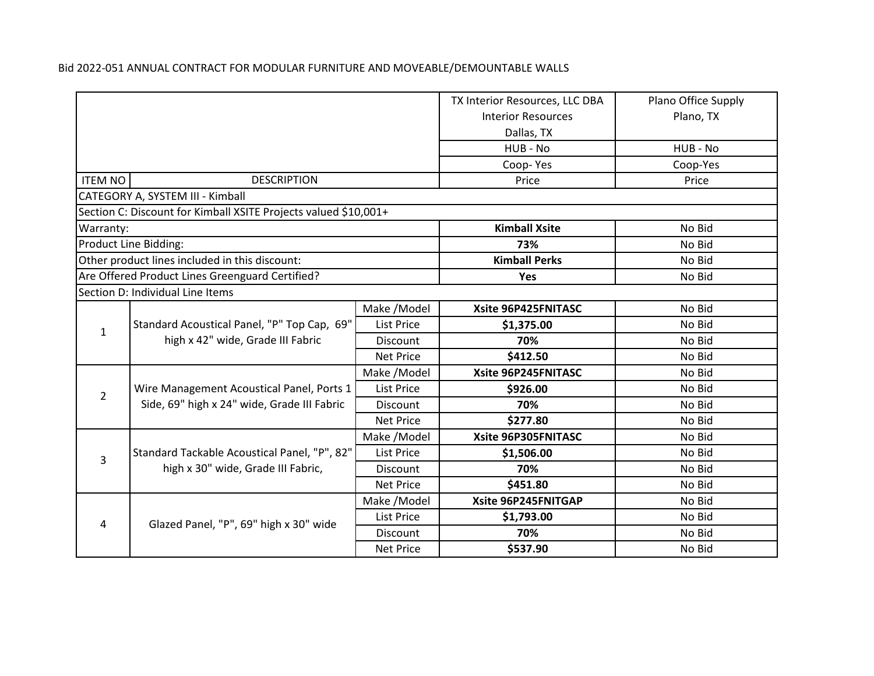|                |                                                                                  |                   | TX Interior Resources, LLC DBA | Plano Office Supply |
|----------------|----------------------------------------------------------------------------------|-------------------|--------------------------------|---------------------|
|                |                                                                                  |                   | <b>Interior Resources</b>      | Plano, TX           |
|                |                                                                                  |                   | Dallas, TX                     |                     |
|                |                                                                                  |                   | HUB - No                       | HUB - No            |
|                |                                                                                  |                   | Coop-Yes                       | Coop-Yes            |
| <b>ITEM NO</b> | <b>DESCRIPTION</b>                                                               |                   | Price                          | Price               |
|                | CATEGORY A, SYSTEM III - Kimball                                                 |                   |                                |                     |
|                | Section C: Discount for Kimball XSITE Projects valued \$10,001+                  |                   |                                |                     |
| Warranty:      |                                                                                  |                   | <b>Kimball Xsite</b>           | No Bid              |
|                | Product Line Bidding:                                                            |                   | 73%                            | No Bid              |
|                | Other product lines included in this discount:                                   |                   | <b>Kimball Perks</b>           | No Bid              |
|                | Are Offered Product Lines Greenguard Certified?                                  |                   | Yes                            | No Bid              |
|                | Section D: Individual Line Items                                                 |                   |                                |                     |
|                | Standard Acoustical Panel, "P" Top Cap, 69"<br>high x 42" wide, Grade III Fabric | Make /Model       | Xsite 96P425FNITASC            | No Bid              |
| 1              |                                                                                  | <b>List Price</b> | \$1,375.00                     | No Bid              |
|                |                                                                                  | Discount          | 70%                            | No Bid              |
|                |                                                                                  | <b>Net Price</b>  | \$412.50                       | No Bid              |
|                |                                                                                  | Make /Model       | Xsite 96P245FNITASC            | No Bid              |
| $\overline{2}$ | Wire Management Acoustical Panel, Ports 1                                        | List Price        | \$926.00                       | No Bid              |
|                | Side, 69" high x 24" wide, Grade III Fabric                                      | Discount          | 70%                            | No Bid              |
|                |                                                                                  | <b>Net Price</b>  | \$277.80                       | No Bid              |
|                |                                                                                  | Make /Model       | Xsite 96P305FNITASC            | No Bid              |
| 3              | Standard Tackable Acoustical Panel, "P", 82"                                     | List Price        | \$1,506.00                     | No Bid              |
|                | high x 30" wide, Grade III Fabric,                                               | Discount          | 70%                            | No Bid              |
|                |                                                                                  | <b>Net Price</b>  | \$451.80                       | No Bid              |
|                |                                                                                  | Make /Model       | Xsite 96P245FNITGAP            | No Bid              |
| 4              | Glazed Panel, "P", 69" high x 30" wide                                           | List Price        | \$1,793.00                     | No Bid              |
|                |                                                                                  | <b>Discount</b>   | 70%                            | No Bid              |
|                |                                                                                  | <b>Net Price</b>  | \$537.90                       | No Bid              |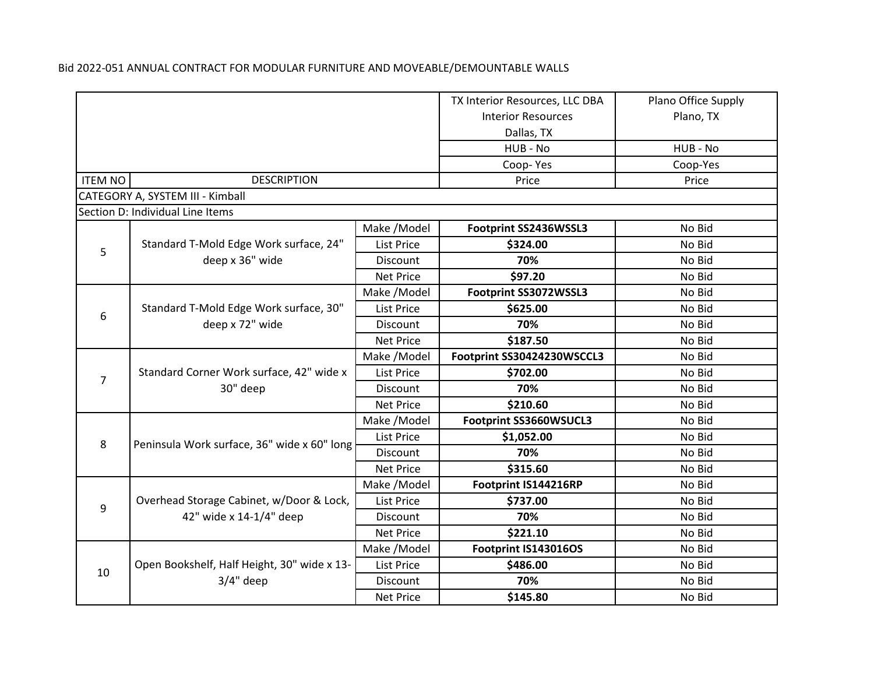|                |                                             |                   | TX Interior Resources, LLC DBA | Plano Office Supply |
|----------------|---------------------------------------------|-------------------|--------------------------------|---------------------|
|                |                                             |                   | <b>Interior Resources</b>      | Plano, TX           |
|                |                                             |                   | Dallas, TX                     |                     |
|                |                                             |                   | HUB - No                       | HUB - No            |
|                |                                             |                   | Coop-Yes                       | Coop-Yes            |
| <b>ITEM NO</b> | <b>DESCRIPTION</b>                          |                   | Price                          | Price               |
|                | CATEGORY A, SYSTEM III - Kimball            |                   |                                |                     |
|                | Section D: Individual Line Items            |                   |                                |                     |
|                |                                             | Make / Model      | Footprint SS2436WSSL3          | No Bid              |
| 5              | Standard T-Mold Edge Work surface, 24"      | List Price        | \$324.00                       | No Bid              |
|                | deep x 36" wide                             | <b>Discount</b>   | 70%                            | No Bid              |
|                |                                             | <b>Net Price</b>  | \$97.20                        | No Bid              |
|                |                                             | Make /Model       | Footprint SS3072WSSL3          | No Bid              |
|                | Standard T-Mold Edge Work surface, 30"      | <b>List Price</b> | \$625.00                       | No Bid              |
| 6              | deep x 72" wide                             | Discount          | 70%                            | No Bid              |
|                |                                             | <b>Net Price</b>  | \$187.50                       | No Bid              |
|                |                                             | Make /Model       | Footprint SS30424230WSCCL3     | No Bid              |
|                | Standard Corner Work surface, 42" wide x    | <b>List Price</b> | \$702.00                       | No Bid              |
| $\overline{7}$ | 30" deep                                    | <b>Discount</b>   | 70%                            | No Bid              |
|                |                                             | <b>Net Price</b>  | \$210.60                       | No Bid              |
|                |                                             | Make /Model       | Footprint SS3660WSUCL3         | No Bid              |
| 8              | Peninsula Work surface, 36" wide x 60" long | List Price        | \$1,052.00                     | No Bid              |
|                |                                             | Discount          | 70%                            | No Bid              |
|                |                                             | <b>Net Price</b>  | \$315.60                       | No Bid              |
|                |                                             | Make /Model       | Footprint IS144216RP           | No Bid              |
| 9              | Overhead Storage Cabinet, w/Door & Lock,    | <b>List Price</b> | \$737.00                       | No Bid              |
|                | 42" wide x 14-1/4" deep                     | Discount          | 70%                            | No Bid              |
|                |                                             | <b>Net Price</b>  | \$221.10                       | No Bid              |
|                |                                             | Make / Model      | Footprint IS143016OS           | No Bid              |
| 10             | Open Bookshelf, Half Height, 30" wide x 13- | <b>List Price</b> | \$486.00                       | No Bid              |
|                | $3/4"$ deep                                 | Discount          | 70%                            | No Bid              |
|                |                                             | <b>Net Price</b>  | \$145.80                       | No Bid              |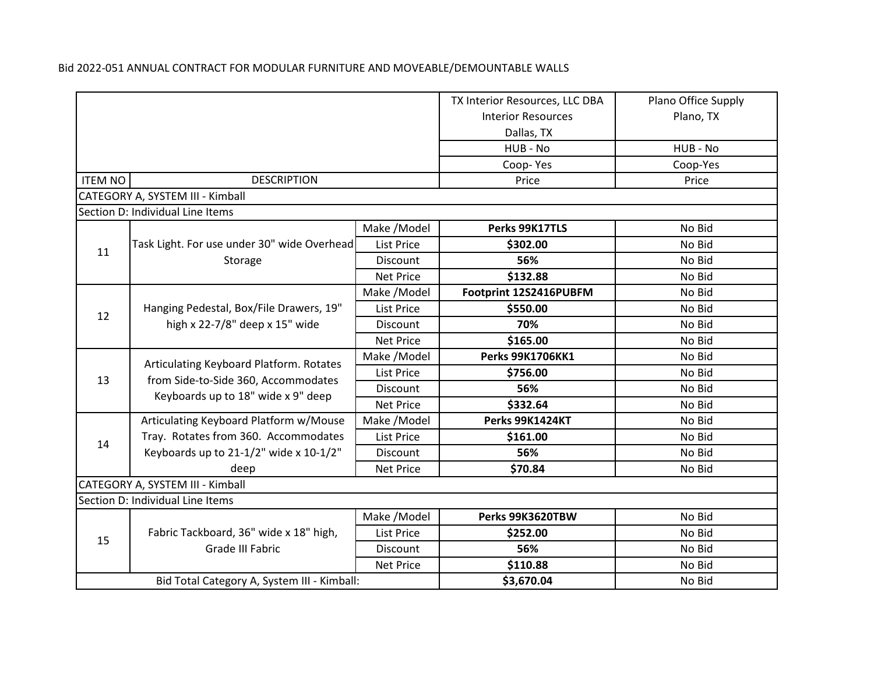|                                             |                                                                           |                           | TX Interior Resources, LLC DBA | Plano Office Supply |
|---------------------------------------------|---------------------------------------------------------------------------|---------------------------|--------------------------------|---------------------|
|                                             |                                                                           | <b>Interior Resources</b> | Plano, TX                      |                     |
|                                             |                                                                           | Dallas, TX                |                                |                     |
|                                             |                                                                           |                           | HUB - No                       | HUB - No            |
|                                             |                                                                           |                           | Coop-Yes                       | Coop-Yes            |
| <b>ITEM NO</b>                              | <b>DESCRIPTION</b>                                                        |                           | Price                          | Price               |
|                                             | CATEGORY A, SYSTEM III - Kimball                                          |                           |                                |                     |
|                                             | Section D: Individual Line Items                                          |                           |                                |                     |
|                                             |                                                                           | Make / Model              | Perks 99K17TLS                 | No Bid              |
| 11                                          | Task Light. For use under 30" wide Overhead                               | <b>List Price</b>         | \$302.00                       | No Bid              |
|                                             | Storage                                                                   | Discount                  | 56%                            | No Bid              |
|                                             |                                                                           | <b>Net Price</b>          | \$132.88                       | No Bid              |
|                                             |                                                                           | Make / Model              | Footprint 12S2416PUBFM         | No Bid              |
| 12                                          | Hanging Pedestal, Box/File Drawers, 19"                                   | List Price                | \$550.00                       | No Bid              |
|                                             | high x 22-7/8" deep x 15" wide                                            | Discount                  | 70%                            | No Bid              |
|                                             |                                                                           | <b>Net Price</b>          | \$165.00                       | No Bid              |
|                                             | Articulating Keyboard Platform. Rotates                                   | Make /Model               | <b>Perks 99K1706KK1</b>        | No Bid              |
| 13                                          | from Side-to-Side 360, Accommodates<br>Keyboards up to 18" wide x 9" deep | <b>List Price</b>         | \$756.00                       | No Bid              |
|                                             |                                                                           | Discount                  | 56%                            | No Bid              |
|                                             |                                                                           | <b>Net Price</b>          | \$332.64                       | No Bid              |
|                                             | Articulating Keyboard Platform w/Mouse                                    | Make / Model              | Perks 99K1424KT                | No Bid              |
| 14                                          | Tray. Rotates from 360. Accommodates                                      | <b>List Price</b>         | \$161.00                       | No Bid              |
|                                             | Keyboards up to 21-1/2" wide x 10-1/2"                                    | Discount                  | 56%                            | No Bid              |
|                                             | deep                                                                      | Net Price                 | \$70.84                        | No Bid              |
|                                             | CATEGORY A, SYSTEM III - Kimball                                          |                           |                                |                     |
|                                             | Section D: Individual Line Items                                          |                           |                                |                     |
|                                             |                                                                           | Make /Model               | Perks 99K3620TBW               | No Bid              |
| 15                                          | Fabric Tackboard, 36" wide x 18" high,                                    | <b>List Price</b>         | \$252.00                       | No Bid              |
|                                             | Grade III Fabric                                                          | Discount                  | 56%                            | No Bid              |
|                                             |                                                                           | <b>Net Price</b>          | \$110.88                       | No Bid              |
| Bid Total Category A, System III - Kimball: |                                                                           | \$3,670.04                | No Bid                         |                     |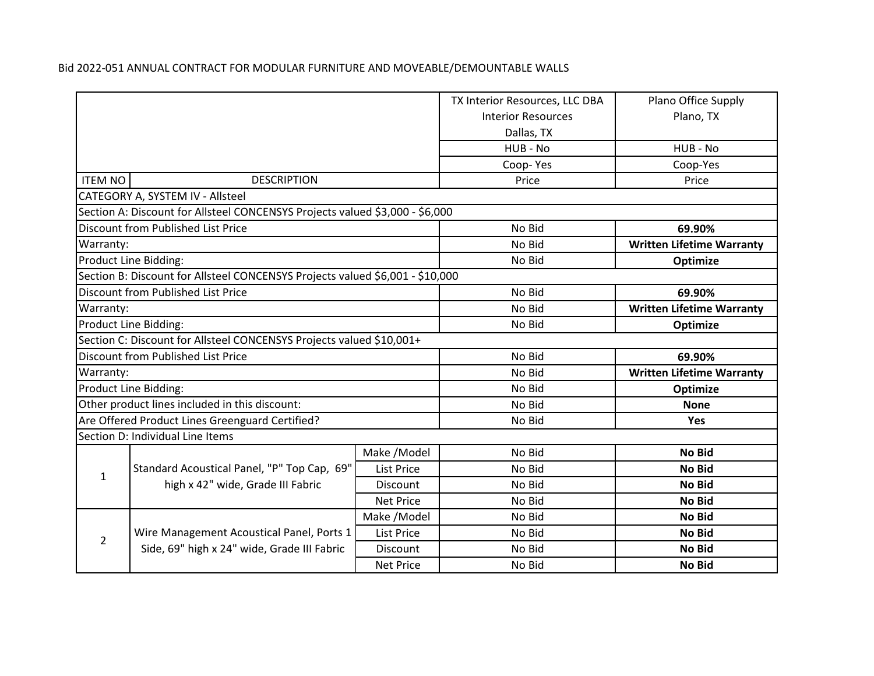|                |                                                                               |                           | TX Interior Resources, LLC DBA | Plano Office Supply              |
|----------------|-------------------------------------------------------------------------------|---------------------------|--------------------------------|----------------------------------|
|                |                                                                               | <b>Interior Resources</b> | Plano, TX                      |                                  |
|                |                                                                               | Dallas, TX                |                                |                                  |
|                |                                                                               |                           | HUB - No                       | HUB - No                         |
|                |                                                                               |                           | Coop-Yes                       | Coop-Yes                         |
| <b>ITEM NO</b> | <b>DESCRIPTION</b>                                                            |                           | Price                          | Price                            |
|                | CATEGORY A, SYSTEM IV - Allsteel                                              |                           |                                |                                  |
|                | Section A: Discount for Allsteel CONCENSYS Projects valued \$3,000 - \$6,000  |                           |                                |                                  |
|                | Discount from Published List Price                                            |                           | No Bid                         | 69.90%                           |
| Warranty:      |                                                                               |                           | No Bid                         | <b>Written Lifetime Warranty</b> |
|                | Product Line Bidding:                                                         |                           | No Bid                         | Optimize                         |
|                | Section B: Discount for Allsteel CONCENSYS Projects valued \$6,001 - \$10,000 |                           |                                |                                  |
|                | Discount from Published List Price                                            |                           | No Bid                         | 69.90%                           |
| Warranty:      |                                                                               |                           | No Bid                         | <b>Written Lifetime Warranty</b> |
|                | Product Line Bidding:                                                         |                           | No Bid                         | Optimize                         |
|                | Section C: Discount for Allsteel CONCENSYS Projects valued \$10,001+          |                           |                                |                                  |
|                | Discount from Published List Price                                            |                           | No Bid                         | 69.90%                           |
| Warranty:      |                                                                               |                           | No Bid                         | <b>Written Lifetime Warranty</b> |
|                | Product Line Bidding:                                                         |                           | No Bid                         | Optimize                         |
|                | Other product lines included in this discount:                                |                           | No Bid                         | <b>None</b>                      |
|                | Are Offered Product Lines Greenguard Certified?                               |                           | No Bid                         | Yes                              |
|                | Section D: Individual Line Items                                              |                           |                                |                                  |
|                |                                                                               | Make /Model               | No Bid                         | <b>No Bid</b>                    |
| $\mathbf{1}$   | Standard Acoustical Panel, "P" Top Cap, 69"                                   | <b>List Price</b>         | No Bid                         | <b>No Bid</b>                    |
|                | high x 42" wide, Grade III Fabric                                             | Discount                  | No Bid                         | <b>No Bid</b>                    |
|                |                                                                               | <b>Net Price</b>          | No Bid                         | <b>No Bid</b>                    |
|                |                                                                               | Make / Model              | No Bid                         | <b>No Bid</b>                    |
| 2              | Wire Management Acoustical Panel, Ports 1                                     | <b>List Price</b>         | No Bid                         | <b>No Bid</b>                    |
|                | Side, 69" high x 24" wide, Grade III Fabric                                   | Discount                  | No Bid                         | <b>No Bid</b>                    |
|                |                                                                               | <b>Net Price</b>          | No Bid                         | <b>No Bid</b>                    |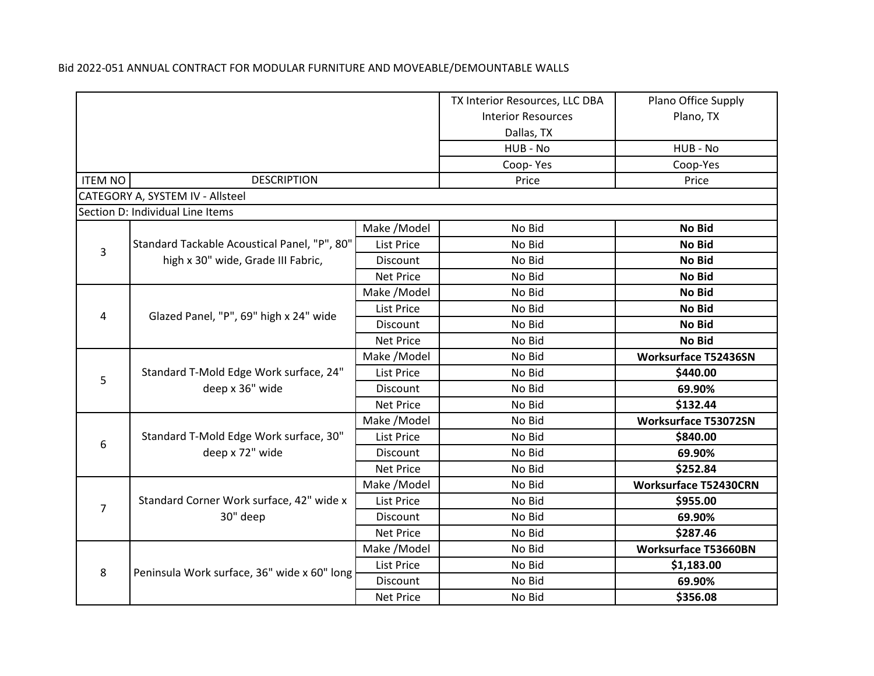|                |                                                           |                   | TX Interior Resources, LLC DBA | Plano Office Supply          |
|----------------|-----------------------------------------------------------|-------------------|--------------------------------|------------------------------|
|                |                                                           |                   | <b>Interior Resources</b>      | Plano, TX                    |
|                |                                                           |                   | Dallas, TX                     |                              |
|                |                                                           |                   | HUB - No                       | HUB - No                     |
|                |                                                           |                   | Coop-Yes                       | Coop-Yes                     |
| <b>ITEM NO</b> | <b>DESCRIPTION</b>                                        |                   | Price                          | Price                        |
|                | CATEGORY A, SYSTEM IV - Allsteel                          |                   |                                |                              |
|                | Section D: Individual Line Items                          |                   |                                |                              |
|                |                                                           | Make / Model      | No Bid                         | No Bid                       |
| $\overline{3}$ | Standard Tackable Acoustical Panel, "P", 80"              | <b>List Price</b> | No Bid                         | No Bid                       |
|                | high x 30" wide, Grade III Fabric,                        | Discount          | No Bid                         | <b>No Bid</b>                |
|                |                                                           | <b>Net Price</b>  | No Bid                         | <b>No Bid</b>                |
|                |                                                           | Make /Model       | No Bid                         | No Bid                       |
|                | Glazed Panel, "P", 69" high x 24" wide                    | <b>List Price</b> | No Bid                         | <b>No Bid</b>                |
| 4              |                                                           | Discount          | No Bid                         | <b>No Bid</b>                |
|                |                                                           | <b>Net Price</b>  | No Bid                         | <b>No Bid</b>                |
|                | Standard T-Mold Edge Work surface, 24"<br>deep x 36" wide | Make /Model       | No Bid                         | <b>Worksurface T52436SN</b>  |
| 5              |                                                           | List Price        | No Bid                         | \$440.00                     |
|                |                                                           | Discount          | No Bid                         | 69.90%                       |
|                |                                                           | <b>Net Price</b>  | No Bid                         | \$132.44                     |
|                |                                                           | Make /Model       | No Bid                         | <b>Worksurface T53072SN</b>  |
| 6              | Standard T-Mold Edge Work surface, 30"                    | <b>List Price</b> | No Bid                         | \$840.00                     |
|                | deep x 72" wide                                           | Discount          | No Bid                         | 69.90%                       |
|                |                                                           | <b>Net Price</b>  | No Bid                         | \$252.84                     |
|                |                                                           | Make /Model       | No Bid                         | <b>Worksurface T52430CRN</b> |
| $\overline{7}$ | Standard Corner Work surface, 42" wide x                  | <b>List Price</b> | No Bid                         | \$955.00                     |
|                | 30" deep                                                  | Discount          | No Bid                         | 69.90%                       |
|                |                                                           | <b>Net Price</b>  | No Bid                         | \$287.46                     |
|                |                                                           | Make / Model      | No Bid                         | <b>Worksurface T53660BN</b>  |
| 8              | Peninsula Work surface, 36" wide x 60" long               | <b>List Price</b> | No Bid                         | \$1,183.00                   |
|                |                                                           | Discount          | No Bid                         | 69.90%                       |
|                |                                                           | <b>Net Price</b>  | No Bid                         | \$356.08                     |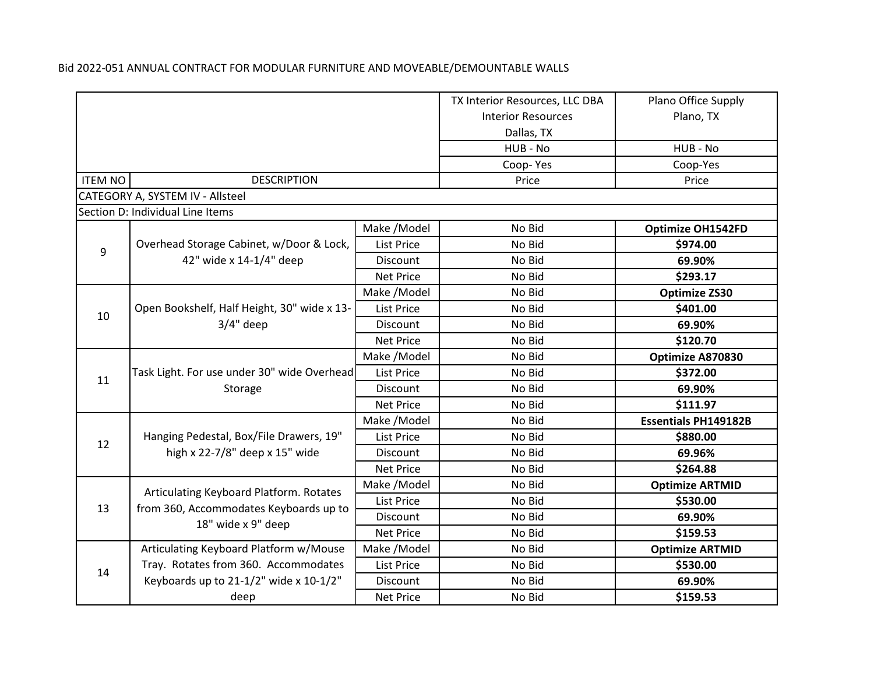|                |                                                            |                   | TX Interior Resources, LLC DBA | Plano Office Supply         |
|----------------|------------------------------------------------------------|-------------------|--------------------------------|-----------------------------|
|                |                                                            |                   | <b>Interior Resources</b>      | Plano, TX                   |
|                |                                                            |                   | Dallas, TX                     |                             |
|                |                                                            |                   | HUB - No                       | HUB - No                    |
|                |                                                            |                   | Coop-Yes                       | Coop-Yes                    |
| <b>ITEM NO</b> | <b>DESCRIPTION</b>                                         |                   | Price                          | Price                       |
|                | CATEGORY A, SYSTEM IV - Allsteel                           |                   |                                |                             |
|                | Section D: Individual Line Items                           |                   |                                |                             |
|                |                                                            | Make / Model      | No Bid                         | <b>Optimize OH1542FD</b>    |
| $\overline{9}$ | Overhead Storage Cabinet, w/Door & Lock,                   | List Price        | No Bid                         | \$974.00                    |
|                | 42" wide x 14-1/4" deep                                    | Discount          | No Bid                         | 69.90%                      |
|                |                                                            | <b>Net Price</b>  | No Bid                         | \$293.17                    |
|                |                                                            | Make /Model       | No Bid                         | <b>Optimize ZS30</b>        |
| 10             | Open Bookshelf, Half Height, 30" wide x 13-<br>$3/4"$ deep | <b>List Price</b> | No Bid                         | \$401.00                    |
|                |                                                            | Discount          | No Bid                         | 69.90%                      |
|                |                                                            | <b>Net Price</b>  | No Bid                         | \$120.70                    |
|                | Task Light. For use under 30" wide Overhead<br>Storage     | Make / Model      | No Bid                         | Optimize A870830            |
| 11             |                                                            | List Price        | No Bid                         | \$372.00                    |
|                |                                                            | Discount          | No Bid                         | 69.90%                      |
|                |                                                            | <b>Net Price</b>  | No Bid                         | \$111.97                    |
|                |                                                            | Make /Model       | No Bid                         | <b>Essentials PH149182B</b> |
| 12             | Hanging Pedestal, Box/File Drawers, 19"                    | List Price        | No Bid                         | \$880.00                    |
|                | high x 22-7/8" deep x 15" wide                             | Discount          | No Bid                         | 69.96%                      |
|                |                                                            | <b>Net Price</b>  | No Bid                         | \$264.88                    |
|                | Articulating Keyboard Platform. Rotates                    | Make /Model       | No Bid                         | <b>Optimize ARTMID</b>      |
| 13             | from 360, Accommodates Keyboards up to                     | <b>List Price</b> | No Bid                         | \$530.00                    |
|                | 18" wide x 9" deep                                         | Discount          | No Bid                         | 69.90%                      |
|                |                                                            | <b>Net Price</b>  | No Bid                         | \$159.53                    |
|                | Articulating Keyboard Platform w/Mouse                     | Make / Model      | No Bid                         | <b>Optimize ARTMID</b>      |
| 14             | Tray. Rotates from 360. Accommodates                       | <b>List Price</b> | No Bid                         | \$530.00                    |
|                | Keyboards up to 21-1/2" wide x 10-1/2"                     | Discount          | No Bid                         | 69.90%                      |
|                | deep                                                       | <b>Net Price</b>  | No Bid                         | \$159.53                    |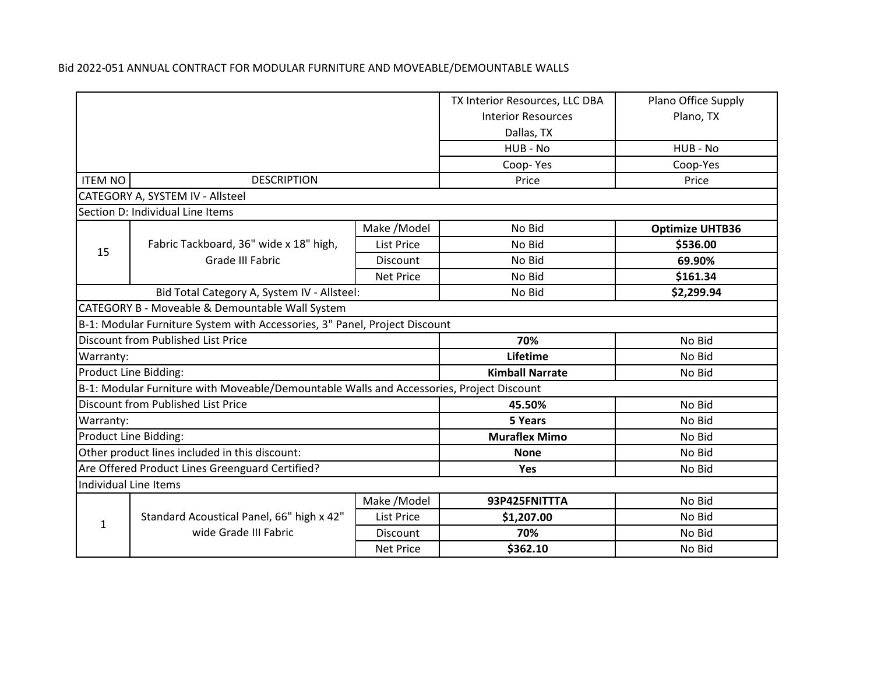|                                                            |                                                                                          |                           | TX Interior Resources, LLC DBA | Plano Office Supply    |
|------------------------------------------------------------|------------------------------------------------------------------------------------------|---------------------------|--------------------------------|------------------------|
|                                                            |                                                                                          | <b>Interior Resources</b> | Plano, TX                      |                        |
|                                                            |                                                                                          |                           | Dallas, TX                     |                        |
|                                                            |                                                                                          |                           | HUB - No                       | HUB - No               |
|                                                            |                                                                                          |                           | Coop-Yes                       | Coop-Yes               |
| <b>ITEM NO</b>                                             | <b>DESCRIPTION</b>                                                                       |                           | Price                          | Price                  |
|                                                            | CATEGORY A, SYSTEM IV - Allsteel                                                         |                           |                                |                        |
|                                                            | Section D: Individual Line Items                                                         |                           |                                |                        |
|                                                            |                                                                                          | Make /Model               | No Bid                         | <b>Optimize UHTB36</b> |
| 15                                                         | Fabric Tackboard, 36" wide x 18" high,                                                   | <b>List Price</b>         | No Bid                         | \$536.00               |
|                                                            | <b>Grade III Fabric</b>                                                                  | Discount                  | No Bid                         | 69.90%                 |
|                                                            |                                                                                          | <b>Net Price</b>          | No Bid                         | \$161.34               |
|                                                            | Bid Total Category A, System IV - Allsteel:                                              |                           | No Bid                         | \$2,299.94             |
|                                                            | CATEGORY B - Moveable & Demountable Wall System                                          |                           |                                |                        |
|                                                            | B-1: Modular Furniture System with Accessories, 3" Panel, Project Discount               |                           |                                |                        |
| <b>Discount from Published List Price</b><br>70%<br>No Bid |                                                                                          |                           |                                |                        |
| Warranty:                                                  |                                                                                          |                           | Lifetime                       | No Bid                 |
| Product Line Bidding:                                      |                                                                                          |                           | <b>Kimball Narrate</b>         | No Bid                 |
|                                                            | B-1: Modular Furniture with Moveable/Demountable Walls and Accessories, Project Discount |                           |                                |                        |
|                                                            | <b>Discount from Published List Price</b>                                                |                           | 45.50%                         | No Bid                 |
| Warranty:                                                  |                                                                                          |                           | 5 Years                        | No Bid                 |
|                                                            | Product Line Bidding:                                                                    |                           | <b>Muraflex Mimo</b>           | No Bid                 |
|                                                            | Other product lines included in this discount:                                           |                           | <b>None</b>                    | No Bid                 |
| Are Offered Product Lines Greenguard Certified?            |                                                                                          |                           | Yes                            | No Bid                 |
|                                                            | Individual Line Items                                                                    |                           |                                |                        |
|                                                            |                                                                                          | Make / Model              | 93P425FNITTTA                  | No Bid                 |
| 1                                                          | Standard Acoustical Panel, 66" high x 42"                                                | List Price                | \$1,207.00                     | No Bid                 |
|                                                            | wide Grade III Fabric                                                                    | Discount                  | 70%                            | No Bid                 |
|                                                            |                                                                                          | <b>Net Price</b>          | \$362.10                       | No Bid                 |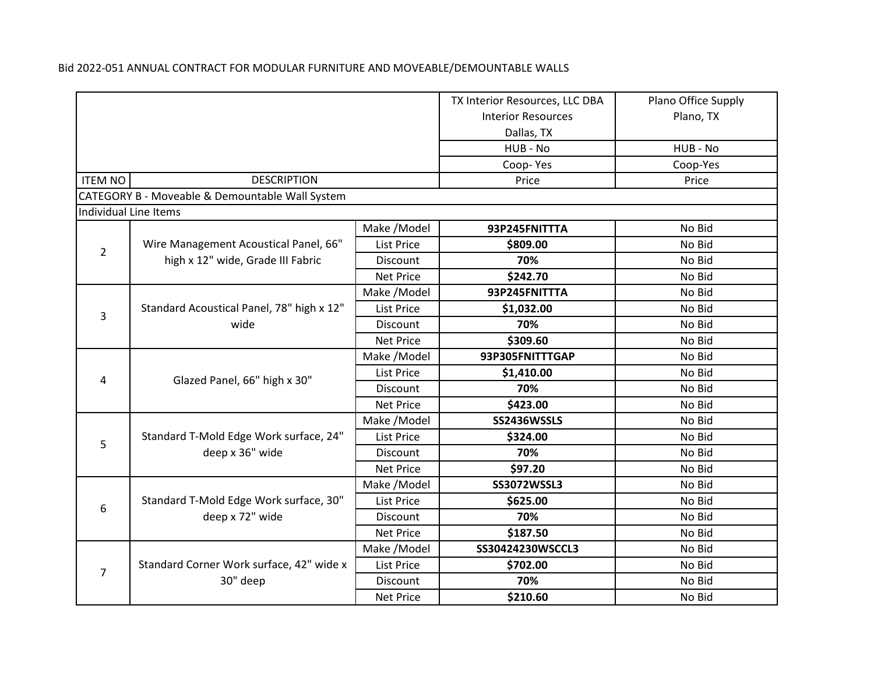|                |                                                 |                   | TX Interior Resources, LLC DBA | Plano Office Supply |
|----------------|-------------------------------------------------|-------------------|--------------------------------|---------------------|
|                |                                                 |                   | <b>Interior Resources</b>      | Plano, TX           |
|                |                                                 |                   | Dallas, TX                     |                     |
|                |                                                 |                   | HUB - No                       | HUB - No            |
|                |                                                 |                   | Coop-Yes                       | Coop-Yes            |
| <b>ITEM NO</b> | <b>DESCRIPTION</b>                              |                   | Price                          | Price               |
|                | CATEGORY B - Moveable & Demountable Wall System |                   |                                |                     |
|                | Individual Line Items                           |                   |                                |                     |
|                |                                                 | Make /Model       | 93P245FNITTTA                  | No Bid              |
|                | Wire Management Acoustical Panel, 66"           | <b>List Price</b> | \$809.00                       | No Bid              |
| $\overline{2}$ | high x 12" wide, Grade III Fabric               | Discount          | 70%                            | No Bid              |
|                |                                                 | <b>Net Price</b>  | \$242.70                       | No Bid              |
|                |                                                 | Make /Model       | 93P245FNITTTA                  | No Bid              |
|                | Standard Acoustical Panel, 78" high x 12"       | <b>List Price</b> | \$1,032.00                     | No Bid              |
| 3              | wide                                            | Discount          | 70%                            | No Bid              |
|                |                                                 | <b>Net Price</b>  | \$309.60                       | No Bid              |
|                |                                                 | Make /Model       | 93P305FNITTTGAP                | No Bid              |
|                | Glazed Panel, 66" high x 30"                    | <b>List Price</b> | \$1,410.00                     | No Bid              |
| 4              |                                                 | Discount          | 70%                            | No Bid              |
|                |                                                 | <b>Net Price</b>  | \$423.00                       | No Bid              |
|                |                                                 | Make /Model       | SS2436WSSLS                    | No Bid              |
| 5              | Standard T-Mold Edge Work surface, 24"          | <b>List Price</b> | \$324.00                       | No Bid              |
|                | deep x 36" wide                                 | Discount          | 70%                            | No Bid              |
|                |                                                 | <b>Net Price</b>  | \$97.20                        | No Bid              |
|                |                                                 | Make / Model      | <b>SS3072WSSL3</b>             | No Bid              |
|                | Standard T-Mold Edge Work surface, 30"          | <b>List Price</b> | \$625.00                       | No Bid              |
| 6              | deep x 72" wide                                 | Discount          | 70%                            | No Bid              |
|                |                                                 | <b>Net Price</b>  | \$187.50                       | No Bid              |
|                |                                                 | Make /Model       | SS30424230WSCCL3               | No Bid              |
| $\overline{7}$ | Standard Corner Work surface, 42" wide x        | <b>List Price</b> | \$702.00                       | No Bid              |
|                | 30" deep                                        | Discount          | 70%                            | No Bid              |
|                |                                                 | <b>Net Price</b>  | \$210.60                       | No Bid              |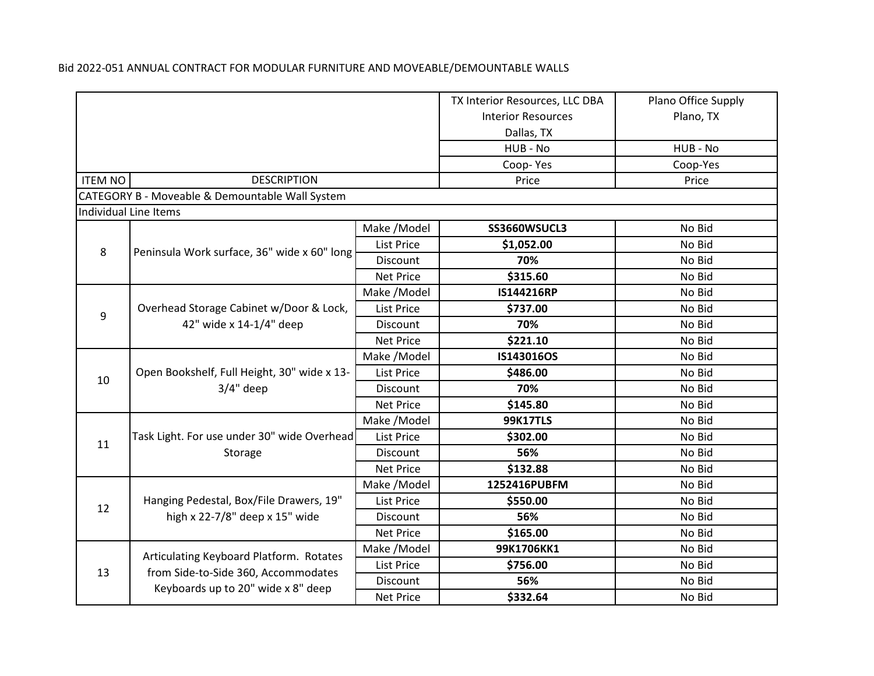|                |                                                                    |                   | TX Interior Resources, LLC DBA | Plano Office Supply |
|----------------|--------------------------------------------------------------------|-------------------|--------------------------------|---------------------|
|                |                                                                    |                   | <b>Interior Resources</b>      | Plano, TX           |
|                |                                                                    |                   | Dallas, TX                     |                     |
|                |                                                                    |                   | HUB - No                       | HUB - No            |
|                |                                                                    |                   | Coop-Yes                       | Coop-Yes            |
| <b>ITEM NO</b> | <b>DESCRIPTION</b>                                                 |                   | Price                          | Price               |
|                | CATEGORY B - Moveable & Demountable Wall System                    |                   |                                |                     |
|                | Individual Line Items                                              |                   |                                |                     |
|                |                                                                    | Make / Model      | SS3660WSUCL3                   | No Bid              |
| 8              |                                                                    | <b>List Price</b> | \$1,052.00                     | No Bid              |
|                | Peninsula Work surface, 36" wide x 60" long                        | Discount          | 70%                            | No Bid              |
|                |                                                                    | <b>Net Price</b>  | \$315.60                       | No Bid              |
|                |                                                                    | Make /Model       | IS144216RP                     | No Bid              |
| 9              | Overhead Storage Cabinet w/Door & Lock,<br>42" wide x 14-1/4" deep | List Price        | \$737.00                       | No Bid              |
|                |                                                                    | Discount          | 70%                            | No Bid              |
|                |                                                                    | <b>Net Price</b>  | \$221.10                       | No Bid              |
|                | Open Bookshelf, Full Height, 30" wide x 13-<br>$3/4"$ deep         | Make /Model       | IS143016OS                     | No Bid              |
| 10             |                                                                    | List Price        | \$486.00                       | No Bid              |
|                |                                                                    | Discount          | 70%                            | No Bid              |
|                |                                                                    | <b>Net Price</b>  | \$145.80                       | No Bid              |
|                |                                                                    | Make /Model       | <b>99K17TLS</b>                | No Bid              |
| 11             | Task Light. For use under 30" wide Overhead<br>Storage             | <b>List Price</b> | \$302.00                       | No Bid              |
|                |                                                                    | Discount          | 56%                            | No Bid              |
|                |                                                                    | <b>Net Price</b>  | \$132.88                       | No Bid              |
|                |                                                                    | Make /Model       | 1252416PUBFM                   | No Bid              |
| 12             | Hanging Pedestal, Box/File Drawers, 19"                            | <b>List Price</b> | \$550.00                       | No Bid              |
|                | high x 22-7/8" deep x 15" wide                                     | Discount          | 56%                            | No Bid              |
|                |                                                                    | <b>Net Price</b>  | \$165.00                       | No Bid              |
|                | Articulating Keyboard Platform. Rotates                            | Make / Model      | 99K1706KK1                     | No Bid              |
| 13             | from Side-to-Side 360, Accommodates                                | List Price        | \$756.00                       | No Bid              |
|                |                                                                    | Discount          | 56%                            | No Bid              |
|                | Keyboards up to 20" wide x 8" deep<br><b>Net Price</b>             |                   | \$332.64                       | No Bid              |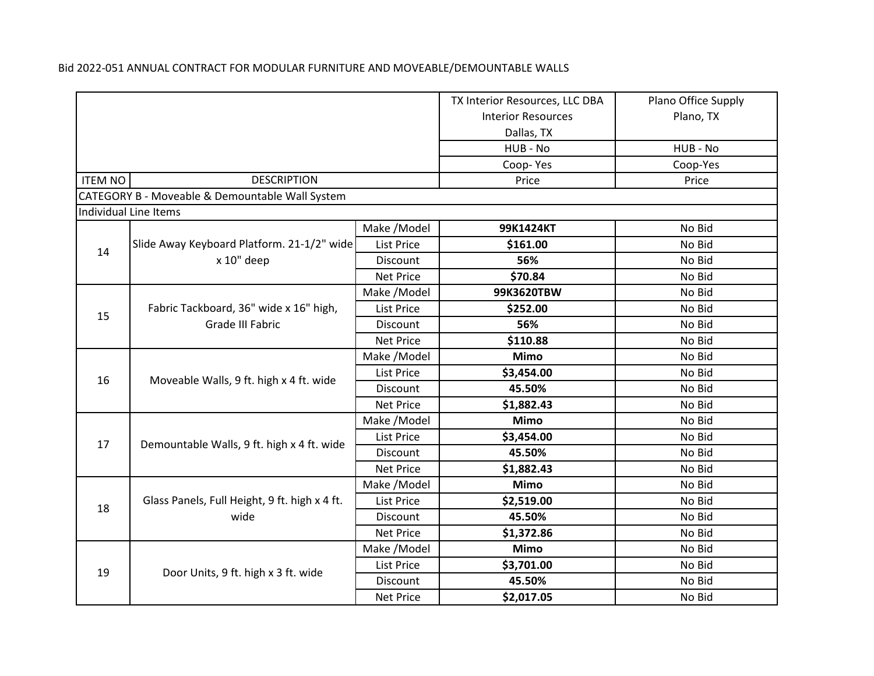|  | Bid 2022-051 ANNUAL CONTRACT FOR MODULAR FURNITURE AND MOVEABLE/DEMOUNTABLE WALLS |  |
|--|-----------------------------------------------------------------------------------|--|
|  |                                                                                   |  |

|                |                                                            |                   | TX Interior Resources, LLC DBA | Plano Office Supply |
|----------------|------------------------------------------------------------|-------------------|--------------------------------|---------------------|
|                |                                                            |                   | <b>Interior Resources</b>      | Plano, TX           |
|                |                                                            |                   | Dallas, TX                     |                     |
|                |                                                            |                   | HUB - No                       | HUB - No            |
|                |                                                            |                   | Coop-Yes                       | Coop-Yes            |
| <b>ITEM NO</b> | <b>DESCRIPTION</b>                                         |                   | Price                          | Price               |
|                | CATEGORY B - Moveable & Demountable Wall System            |                   |                                |                     |
|                | Individual Line Items                                      |                   |                                |                     |
|                |                                                            | Make / Model      | 99K1424KT                      | No Bid              |
| 14             | Slide Away Keyboard Platform. 21-1/2" wide                 | <b>List Price</b> | \$161.00                       | No Bid              |
|                | x 10" deep                                                 | Discount          | 56%                            | No Bid              |
|                |                                                            | <b>Net Price</b>  | \$70.84                        | No Bid              |
|                |                                                            | Make /Model       | 99K3620TBW                     | No Bid              |
| 15             | Fabric Tackboard, 36" wide x 16" high,<br>Grade III Fabric | <b>List Price</b> | \$252.00                       | No Bid              |
|                |                                                            | Discount          | 56%                            | No Bid              |
|                |                                                            | <b>Net Price</b>  | \$110.88                       | No Bid              |
|                |                                                            | Make /Model       | <b>Mimo</b>                    | No Bid              |
| 16             |                                                            | <b>List Price</b> | \$3,454.00                     | No Bid              |
|                | Moveable Walls, 9 ft. high x 4 ft. wide                    | <b>Discount</b>   | 45.50%                         | No Bid              |
|                |                                                            | <b>Net Price</b>  | \$1,882.43                     | No Bid              |
|                |                                                            | Make /Model       | <b>Mimo</b>                    | No Bid              |
| 17             | Demountable Walls, 9 ft. high x 4 ft. wide                 | <b>List Price</b> | \$3,454.00                     | No Bid              |
|                |                                                            | <b>Discount</b>   | 45.50%                         | No Bid              |
|                |                                                            | <b>Net Price</b>  | \$1,882.43                     | No Bid              |
|                |                                                            | Make / Model      | <b>Mimo</b>                    | No Bid              |
| 18             | Glass Panels, Full Height, 9 ft. high x 4 ft.              | <b>List Price</b> | \$2,519.00                     | No Bid              |
|                | wide                                                       | Discount          | 45.50%                         | No Bid              |
|                |                                                            | <b>Net Price</b>  | \$1,372.86                     | No Bid              |
|                |                                                            | Make / Model      | <b>Mimo</b>                    | No Bid              |
| 19             |                                                            | <b>List Price</b> | \$3,701.00                     | No Bid              |
|                | Door Units, 9 ft. high x 3 ft. wide                        | Discount          | 45.50%                         | No Bid              |
|                |                                                            | <b>Net Price</b>  | \$2,017.05                     | No Bid              |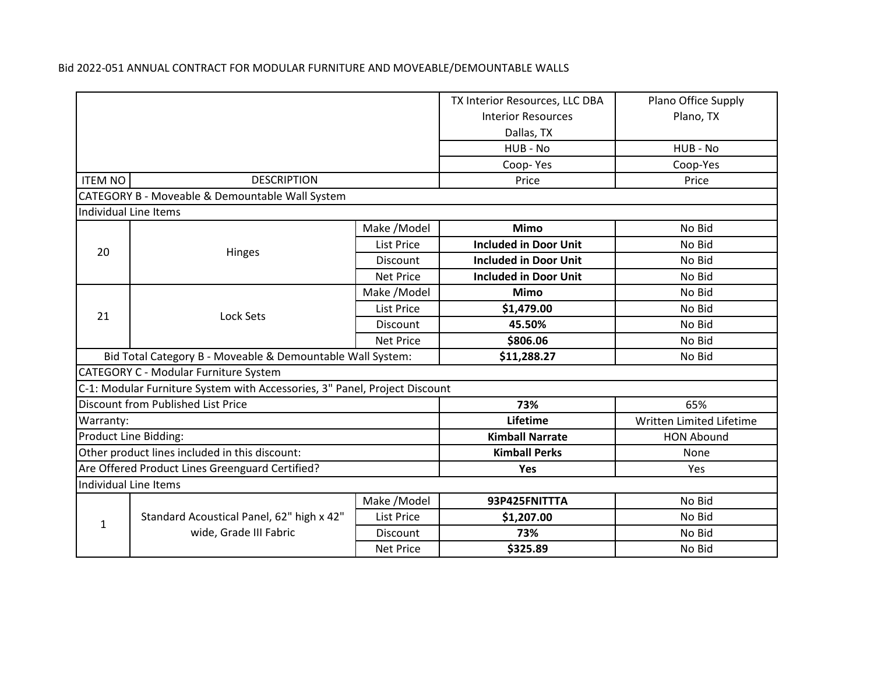|                                                            |                                                                            |                           | TX Interior Resources, LLC DBA | Plano Office Supply      |  |  |
|------------------------------------------------------------|----------------------------------------------------------------------------|---------------------------|--------------------------------|--------------------------|--|--|
|                                                            |                                                                            | <b>Interior Resources</b> | Plano, TX                      |                          |  |  |
|                                                            |                                                                            |                           | Dallas, TX                     |                          |  |  |
|                                                            |                                                                            |                           | HUB - No                       | HUB - No                 |  |  |
|                                                            |                                                                            |                           | Coop-Yes                       | Coop-Yes                 |  |  |
| <b>ITEM NO</b>                                             | <b>DESCRIPTION</b>                                                         |                           | Price                          | Price                    |  |  |
|                                                            | CATEGORY B - Moveable & Demountable Wall System                            |                           |                                |                          |  |  |
|                                                            | Individual Line Items                                                      |                           |                                |                          |  |  |
|                                                            |                                                                            | Make / Model              | <b>Mimo</b>                    | No Bid                   |  |  |
| 20                                                         |                                                                            | <b>List Price</b>         | <b>Included in Door Unit</b>   | No Bid                   |  |  |
|                                                            | Hinges                                                                     | <b>Discount</b>           | <b>Included in Door Unit</b>   | No Bid                   |  |  |
|                                                            |                                                                            | <b>Net Price</b>          | <b>Included in Door Unit</b>   | No Bid                   |  |  |
|                                                            | Lock Sets                                                                  | Make /Model               | <b>Mimo</b>                    | No Bid                   |  |  |
| 21                                                         |                                                                            | <b>List Price</b>         | \$1,479.00                     | No Bid                   |  |  |
|                                                            |                                                                            | Discount                  | 45.50%                         | No Bid                   |  |  |
|                                                            |                                                                            | <b>Net Price</b>          | \$806.06                       | No Bid                   |  |  |
| Bid Total Category B - Moveable & Demountable Wall System: |                                                                            |                           | \$11,288.27                    | No Bid                   |  |  |
|                                                            | CATEGORY C - Modular Furniture System                                      |                           |                                |                          |  |  |
|                                                            | C-1: Modular Furniture System with Accessories, 3" Panel, Project Discount |                           |                                |                          |  |  |
|                                                            | Discount from Published List Price                                         |                           | 73%                            | 65%                      |  |  |
| Warranty:                                                  |                                                                            |                           | Lifetime                       | Written Limited Lifetime |  |  |
|                                                            | Product Line Bidding:                                                      |                           | <b>Kimball Narrate</b>         | <b>HON Abound</b>        |  |  |
|                                                            | Other product lines included in this discount:                             |                           | <b>Kimball Perks</b>           | None                     |  |  |
| Are Offered Product Lines Greenguard Certified?            |                                                                            |                           | Yes                            | <b>Yes</b>               |  |  |
|                                                            | Individual Line Items                                                      |                           |                                |                          |  |  |
|                                                            |                                                                            | Make / Model              | 93P425FNITTTA                  | No Bid                   |  |  |
| $\mathbf{1}$                                               | Standard Acoustical Panel, 62" high x 42"                                  | <b>List Price</b>         | \$1,207.00                     | No Bid                   |  |  |
|                                                            | wide, Grade III Fabric                                                     | Discount                  | 73%                            | No Bid                   |  |  |
|                                                            |                                                                            | <b>Net Price</b>          | \$325.89                       | No Bid                   |  |  |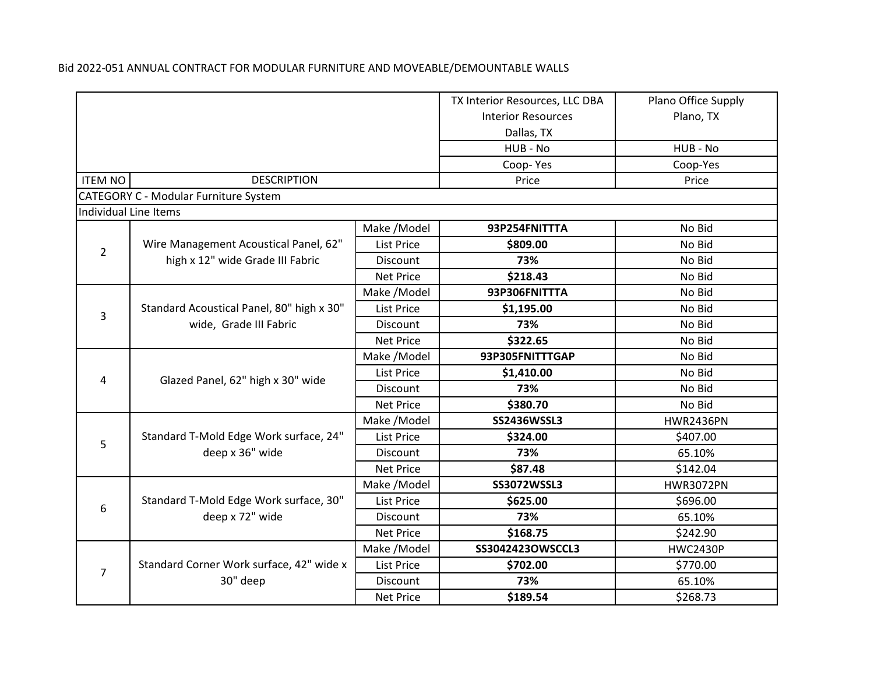| Bid 2022-051 ANNUAL CONTRACT FOR MODULAR FURNITURE AND MOVEABLE/DEMOUNTABLE WALLS |  |
|-----------------------------------------------------------------------------------|--|
|-----------------------------------------------------------------------------------|--|

|                |                                              |                   | TX Interior Resources, LLC DBA | Plano Office Supply |
|----------------|----------------------------------------------|-------------------|--------------------------------|---------------------|
|                |                                              |                   | <b>Interior Resources</b>      | Plano, TX           |
|                |                                              |                   | Dallas, TX                     |                     |
|                |                                              |                   | HUB - No                       | HUB - No            |
|                |                                              |                   | Coop-Yes                       | Coop-Yes            |
| <b>ITEM NO</b> | <b>DESCRIPTION</b>                           |                   | Price                          | Price               |
|                | <b>CATEGORY C - Modular Furniture System</b> |                   |                                |                     |
|                | Individual Line Items                        |                   |                                |                     |
|                |                                              | Make /Model       | 93P254FNITTTA                  | No Bid              |
| $\overline{2}$ | Wire Management Acoustical Panel, 62"        | <b>List Price</b> | \$809.00                       | No Bid              |
|                | high x 12" wide Grade III Fabric             | <b>Discount</b>   | 73%                            | No Bid              |
|                |                                              | <b>Net Price</b>  | \$218.43                       | No Bid              |
|                |                                              | Make /Model       | 93P306FNITTTA                  | No Bid              |
| $\overline{3}$ | Standard Acoustical Panel, 80" high x 30"    | List Price        | \$1,195.00                     | No Bid              |
|                | wide, Grade III Fabric                       | Discount          | 73%                            | No Bid              |
|                |                                              | <b>Net Price</b>  | \$322.65                       | No Bid              |
|                |                                              | Make /Model       | 93P305FNITTTGAP                | No Bid              |
|                |                                              | List Price        | \$1,410.00                     | No Bid              |
| 4              | Glazed Panel, 62" high x 30" wide            | Discount          | 73%                            | No Bid              |
|                |                                              | <b>Net Price</b>  | \$380.70                       | No Bid              |
|                |                                              | Make / Model      | <b>SS2436WSSL3</b>             | <b>HWR2436PN</b>    |
| 5              | Standard T-Mold Edge Work surface, 24"       | <b>List Price</b> | \$324.00                       | \$407.00            |
|                | deep x 36" wide                              | Discount          | 73%                            | 65.10%              |
|                |                                              | <b>Net Price</b>  | \$87.48                        | \$142.04            |
|                |                                              | Make /Model       | <b>SS3072WSSL3</b>             | <b>HWR3072PN</b>    |
| 6              | Standard T-Mold Edge Work surface, 30"       | <b>List Price</b> | \$625.00                       | \$696.00            |
|                | deep x 72" wide                              | Discount          | 73%                            | 65.10%              |
|                |                                              | <b>Net Price</b>  | \$168.75                       | \$242.90            |
|                |                                              | Make /Model       | SS3042423OWSCCL3               | <b>HWC2430P</b>     |
| $\overline{7}$ | Standard Corner Work surface, 42" wide x     | List Price        | \$702.00                       | \$770.00            |
|                | 30" deep                                     | Discount          | 73%                            | 65.10%              |
|                |                                              | <b>Net Price</b>  | \$189.54                       | \$268.73            |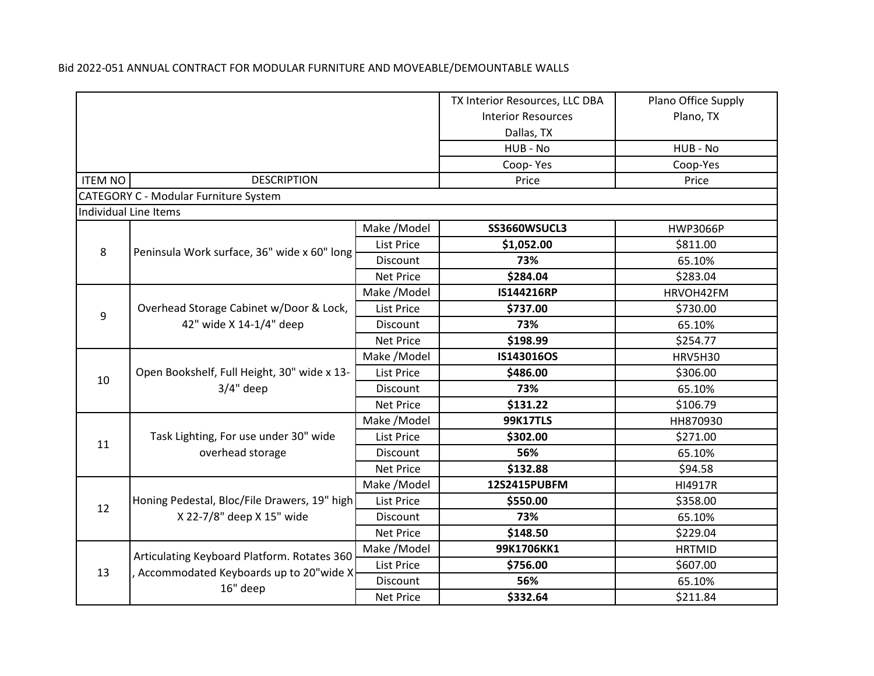|                       |                                                                    |                   | TX Interior Resources, LLC DBA | Plano Office Supply |
|-----------------------|--------------------------------------------------------------------|-------------------|--------------------------------|---------------------|
|                       |                                                                    |                   | <b>Interior Resources</b>      | Plano, TX           |
|                       |                                                                    |                   | Dallas, TX                     |                     |
|                       |                                                                    |                   | HUB - No                       | HUB - No            |
|                       |                                                                    |                   | Coop-Yes                       | Coop-Yes            |
| <b>ITEM NO</b>        | <b>DESCRIPTION</b>                                                 |                   | Price                          | Price               |
|                       | <b>CATEGORY C - Modular Furniture System</b>                       |                   |                                |                     |
| Individual Line Items |                                                                    |                   |                                |                     |
|                       |                                                                    | Make / Model      | SS3660WSUCL3                   | <b>HWP3066P</b>     |
| 8                     | Peninsula Work surface, 36" wide x 60" long                        | <b>List Price</b> | \$1,052.00                     | \$811.00            |
|                       |                                                                    | <b>Discount</b>   | 73%                            | 65.10%              |
|                       |                                                                    | <b>Net Price</b>  | \$284.04                       | \$283.04            |
|                       |                                                                    | Make /Model       | IS144216RP                     | HRVOH42FM           |
| 9                     | Overhead Storage Cabinet w/Door & Lock,<br>42" wide X 14-1/4" deep | List Price        | \$737.00                       | \$730.00            |
|                       |                                                                    | <b>Discount</b>   | 73%                            | 65.10%              |
|                       |                                                                    | <b>Net Price</b>  | \$198.99                       | \$254.77            |
|                       | Open Bookshelf, Full Height, 30" wide x 13-<br>$3/4"$ deep         | Make / Model      | IS143016OS                     | <b>HRV5H30</b>      |
| 10                    |                                                                    | <b>List Price</b> | \$486.00                       | \$306.00            |
|                       |                                                                    | Discount          | 73%                            | 65.10%              |
|                       |                                                                    | <b>Net Price</b>  | \$131.22                       | \$106.79            |
|                       |                                                                    | Make /Model       | <b>99K17TLS</b>                | HH870930            |
| 11                    | Task Lighting, For use under 30" wide<br>overhead storage          | <b>List Price</b> | \$302.00                       | \$271.00            |
|                       |                                                                    | <b>Discount</b>   | 56%                            | 65.10%              |
|                       |                                                                    | <b>Net Price</b>  | \$132.88                       | \$94.58             |
|                       |                                                                    | Make /Model       | 12S2415PUBFM                   | HI4917R             |
| 12                    | Honing Pedestal, Bloc/File Drawers, 19" high                       | List Price        | \$550.00                       | \$358.00            |
|                       | X 22-7/8" deep X 15" wide                                          | Discount          | 73%                            | 65.10%              |
|                       |                                                                    | <b>Net Price</b>  | \$148.50                       | \$229.04            |
|                       | Articulating Keyboard Platform. Rotates 360                        | Make / Model      | 99K1706KK1                     | <b>HRTMID</b>       |
| 13                    |                                                                    | List Price        | \$756.00                       | \$607.00            |
|                       | Accommodated Keyboards up to 20"wide X                             | Discount          | 56%                            | 65.10%              |
|                       | 16" deep<br><b>Net Price</b>                                       |                   | \$332.64                       | \$211.84            |